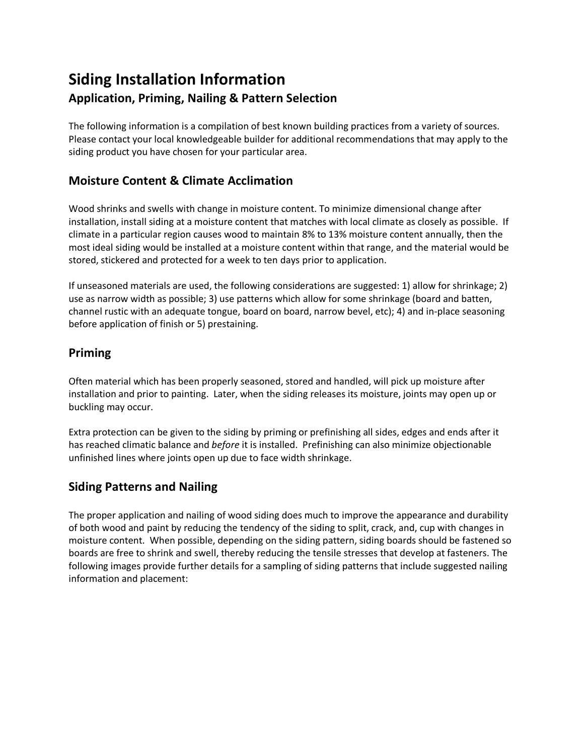# **Siding Installation Information Application, Priming, Nailing & Pattern Selection**

The following information is a compilation of best known building practices from a variety of sources. Please contact your local knowledgeable builder for additional recommendations that may apply to the siding product you have chosen for your particular area.

## **Moisture Content & Climate Acclimation**

Wood shrinks and swells with change in moisture content. To minimize dimensional change after installation, install siding at a moisture content that matches with local climate as closely as possible. If climate in a particular region causes wood to maintain 8% to 13% moisture content annually, then the most ideal siding would be installed at a moisture content within that range, and the material would be stored, stickered and protected for a week to ten days prior to application.

If unseasoned materials are used, the following considerations are suggested: 1) allow for shrinkage; 2) use as narrow width as possible; 3) use patterns which allow for some shrinkage (board and batten, channel rustic with an adequate tongue, board on board, narrow bevel, etc); 4) and in-place seasoning before application of finish or 5) prestaining.

## **Priming**

Often material which has been properly seasoned, stored and handled, will pick up moisture after installation and prior to painting. Later, when the siding releases its moisture, joints may open up or buckling may occur.

Extra protection can be given to the siding by priming or prefinishing all sides, edges and ends after it has reached climatic balance and *before* it is installed. Prefinishing can also minimize objectionable unfinished lines where joints open up due to face width shrinkage.

# **Siding Patterns and Nailing**

The proper application and nailing of wood siding does much to improve the appearance and durability of both wood and paint by reducing the tendency of the siding to split, crack, and, cup with changes in moisture content. When possible, depending on the siding pattern, siding boards should be fastened so boards are free to shrink and swell, thereby reducing the tensile stresses that develop at fasteners. The following images provide further details for a sampling of siding patterns that include suggested nailing information and placement: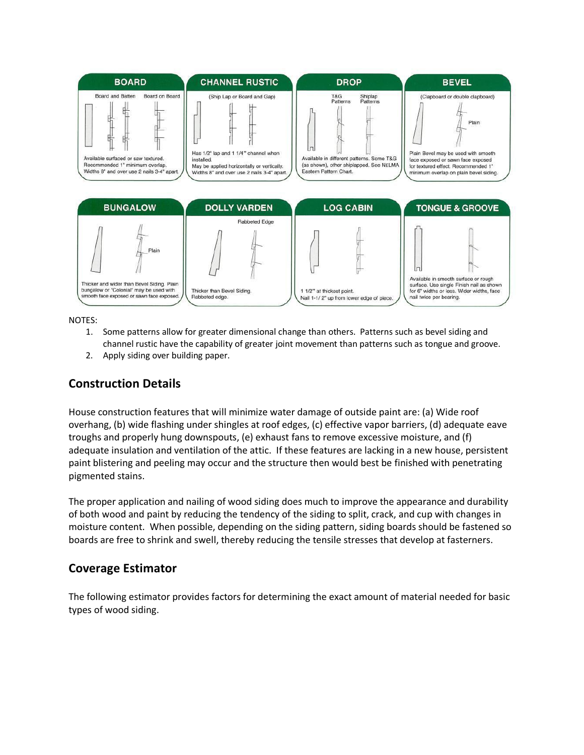

NOTES:

- 1. Some patterns allow for greater dimensional change than others. Patterns such as bevel siding and channel rustic have the capability of greater joint movement than patterns such as tongue and groove.
- 2. Apply siding over building paper.

## **Construction Details**

House construction features that will minimize water damage of outside paint are: (a) Wide roof overhang, (b) wide flashing under shingles at roof edges, (c) effective vapor barriers, (d) adequate eave troughs and properly hung downspouts, (e) exhaust fans to remove excessive moisture, and (f) adequate insulation and ventilation of the attic. If these features are lacking in a new house, persistent paint blistering and peeling may occur and the structure then would best be finished with penetrating pigmented stains.

The proper application and nailing of wood siding does much to improve the appearance and durability of both wood and paint by reducing the tendency of the siding to split, crack, and cup with changes in moisture content. When possible, depending on the siding pattern, siding boards should be fastened so boards are free to shrink and swell, thereby reducing the tensile stresses that develop at fasterners.

#### **Coverage Estimator**

The following estimator provides factors for determining the exact amount of material needed for basic types of wood siding.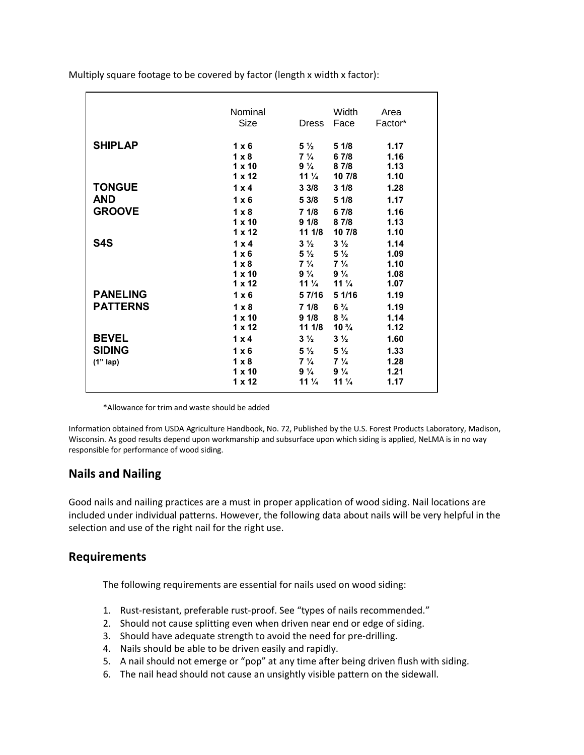Multiply square footage to be covered by factor (length x width x factor):

|                  | Nominal       |                 | Width           | Area    |
|------------------|---------------|-----------------|-----------------|---------|
|                  | Size          | <b>Dress</b>    | Face            | Factor* |
| <b>SHIPLAP</b>   | $1 \times 6$  | $5\frac{1}{2}$  | 51/8            | 1.17    |
|                  | $1 \times 8$  | $7\frac{1}{4}$  | 6 7/8           | 1.16    |
|                  | $1 \times 10$ | $9\frac{1}{4}$  | 8 7/8           | 1.13    |
|                  | $1 \times 12$ | $11\frac{1}{4}$ | 10 7/8          | 1.10    |
| <b>TONGUE</b>    | $1 \times 4$  | 33/8            | 31/8            | 1.28    |
| AND              | $1 \times 6$  | 5 3/8           | 51/8            | 1.17    |
| <b>GROOVE</b>    | $1 \times 8$  | 71/8            | 6 7/8           | 1.16    |
|                  | $1 \times 10$ | 91/8            | 8 7/8           | 1.13    |
|                  | $1 \times 12$ | 111/8           | 10 7/8          | 1.10    |
| S <sub>4</sub> S | $1 \times 4$  | $3\frac{1}{2}$  | $3\frac{1}{2}$  | 1.14    |
|                  | $1 \times 6$  | $5\frac{1}{2}$  | $5\frac{1}{2}$  | 1.09    |
|                  | $1 \times 8$  | $7\frac{1}{4}$  | $7\frac{1}{4}$  | 1.10    |
|                  | $1 \times 10$ | $9\frac{1}{4}$  | $9\frac{1}{4}$  | 1.08    |
|                  | $1 \times 12$ | $11\frac{1}{4}$ | $11\frac{1}{4}$ | 1.07    |
| <b>PANELING</b>  | $1 \times 6$  | 5 7/16          | 5 1/16          | 1.19    |
| <b>PATTERNS</b>  | $1 \times 8$  | 71/8            | $6\frac{3}{4}$  | 1.19    |
|                  | $1 \times 10$ | 91/8            | $8\frac{3}{4}$  | 1.14    |
|                  | $1 \times 12$ | 111/8           | $10\frac{3}{4}$ | 1.12    |
| <b>BEVEL</b>     | $1 \times 4$  | $3\frac{1}{2}$  | $3\frac{1}{2}$  | 1.60    |
| <b>SIDING</b>    | $1 \times 6$  | $5\frac{1}{2}$  | $5\frac{1}{2}$  | 1.33    |
| $(1"$ lap)       | $1 \times 8$  | $7\frac{1}{4}$  | $7\frac{1}{4}$  | 1.28    |
|                  | $1 \times 10$ | $9\frac{1}{4}$  | $9\frac{1}{4}$  | 1.21    |
|                  | $1 \times 12$ | $11\frac{1}{4}$ | $11\frac{1}{4}$ | 1.17    |

\*Allowance for trim and waste should be added

Information obtained from USDA Agriculture Handbook, No. 72, Published by the U.S. Forest Products Laboratory, Madison, Wisconsin. As good results depend upon workmanship and subsurface upon which siding is applied, NeLMA is in no way responsible for performance of wood siding.

## **Nails and Nailing**

Good nails and nailing practices are a must in proper application of wood siding. Nail locations are included under individual patterns. However, the following data about nails will be very helpful in the selection and use of the right nail for the right use.

#### **Requirements**

The following requirements are essential for nails used on wood siding:

- 1. Rust-resistant, preferable rust-proof. See "types of nails recommended."
- 2. Should not cause splitting even when driven near end or edge of siding.
- 3. Should have adequate strength to avoid the need for pre-drilling.
- 4. Nails should be able to be driven easily and rapidly.
- 5. A nail should not emerge or "pop" at any time after being driven flush with siding.
- 6. The nail head should not cause an unsightly visible pattern on the sidewall.